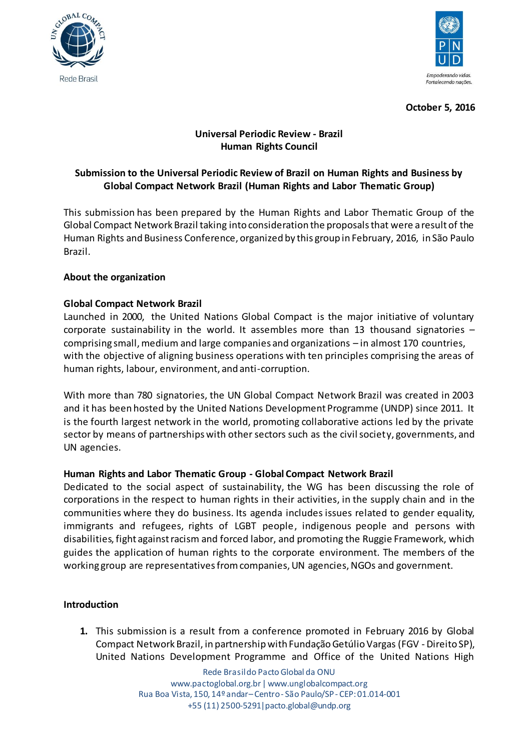



**October 5, 2016**

# **Universal Periodic Review - Brazil Human Rights Council**

# **Submission to the Universal Periodic Review of Brazil on Human Rights and Business by Global Compact Network Brazil (Human Rights and Labor Thematic Group)**

This submission has been prepared by the Human Rights and Labor Thematic Group of the Global Compact Network Brazil taking into consideration the proposals that were a result of the Human Rights and Business Conference, organized by this group in February, 2016, in São Paulo Brazil.

## **About the organization**

## **Global Compact Network Brazil**

Launched in 2000, the United Nations Global Compact is the major initiative of voluntary corporate sustainability in the world. It assembles more than 13 thousand signatories – comprising small, medium and large companies and organizations – in almost 170 countries, with the objective of aligning business operations with ten principles comprising the areas of human rights, labour, environment, and anti-corruption.

With more than 780 signatories, the UN Global Compact Network Brazil was created in 2003 and it has been hosted by the United Nations Development Programme (UNDP) since 2011. It is the fourth largest network in the world, promoting collaborative actions led by the private sector by means of partnerships with other sectors such as the civil society, governments, and UN agencies.

#### **Human Rights and Labor Thematic Group - Global Compact Network Brazil**

Dedicated to the social aspect of sustainability, the WG has been discussing the role of corporations in the respect to human rights in their activities, in the supply chain and in the communities where they do business. Its agenda includes issues related to gender equality, immigrants and refugees, rights of LGBT people, indigenous people and persons with disabilities, fight against racism and forced labor, and promoting the Ruggie Framework, which guides the application of human rights to the corporate environment. The members of the working group are representatives from companies, UN agencies, NGOs and government.

#### **Introduction**

**1.** This submission is a result from a conference promoted in February 2016 by Global Compact Network Brazil, in partnership with Fundação Getúlio Vargas (FGV - Direito SP), United Nations Development Programme and Office of the United Nations High

> Rede Brasildo Pacto Global da ONU www.pactoglobal.org.br | www.unglobalcompact.org Rua Boa Vista, 150, 14º andar–Centro - São Paulo/SP - CEP: 01.014-001 +55 (11) 2500-5291|pacto.global@undp.org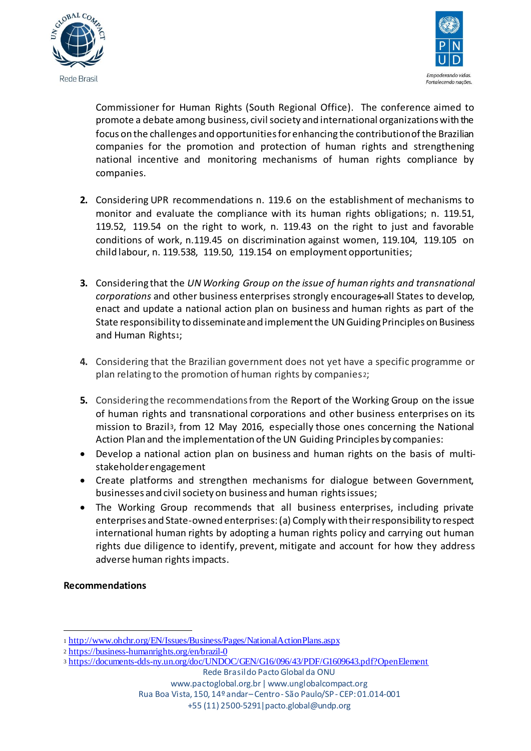



Commissioner for Human Rights (South Regional Office). The conference aimed to promote a debate among business, civil society and international organizations with the focus on the challenges and opportunities for enhancing the contribution of the Brazilian companies for the promotion and protection of human rights and strengthening national incentive and monitoring mechanisms of human rights compliance by companies.

- **2.** Considering UPR recommendations n. 119.6 on the establishment of mechanisms to monitor and evaluate the compliance with its human rights obligations; n. 119.51, 119.52, 119.54 on the right to work, n. 119.43 on the right to just and favorable conditions of work, n.119.45 on discrimination against women, 119.104, 119.105 on child labour, n. 119.538, 119.50, 119.154 on employment opportunities;
- **3.** Considering that the *UN Working Group on the issue of human rights and transnational corporations* and other business enterprises strongly encourages all States to develop, enact and update a national action plan on business and human rights as part of the State responsibility to disseminate and implement the UN Guiding Principles on Business and Human Rights1;
- **4.** Considering that the Brazilian government does not yet have a specific programme or plan relating to the promotion of human rights by companies2;
- **5.** Considering the recommendations from the Report of the Working Group on the issue of human rights and transnational corporations and other business enterprises on its mission to Brazil3, from 12 May 2016, especially those ones concerning the National Action Plan and the implementation of the UN Guiding Principles by companies:
- Develop a national action plan on business and human rights on the basis of multistakeholder engagement
- Create platforms and strengthen mechanisms for dialogue between Government, businesses and civil society on business and human rights issues;
- The Working Group recommends that all business enterprises, including private enterprises and State-owned enterprises: (a) Comply with their responsibility to respect international human rights by adopting a human rights policy and carrying out human rights due diligence to identify, prevent, mitigate and account for how they address adverse human rights impacts.

**Recommendations**

.

<sup>1</sup> http://www.ohchr.org/EN/Issues/Business/Pages/NationalActionPlans.aspx

<sup>2</sup> https://business-humanrights.org/en/brazil-0

<sup>3</sup> https://documents-dds-ny.un.org/doc/UNDOC/GEN/G16/096/43/PDF/G1609643.pdf?OpenElement

Rede Brasildo Pacto Global da ONU www.pactoglobal.org.br | www.unglobalcompact.org Rua Boa Vista, 150, 14º andar–Centro - São Paulo/SP - CEP: 01.014-001 +55 (11) 2500-5291|pacto.global@undp.org